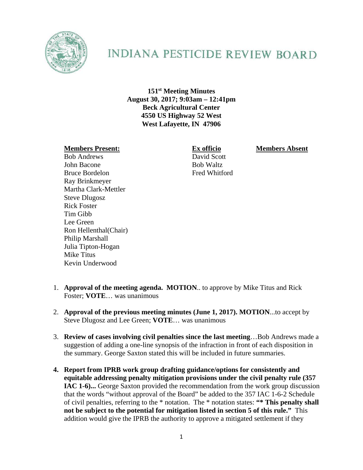

## **INDIANA PESTICIDE REVIEW BOARD**

**151st Meeting Minutes August 30, 2017; 9:03am – 12:41pm Beck Agricultural Center 4550 US Highway 52 West West Lafayette, IN 47906** 

## **Members Present: Ex officio Members Absent**

Bob Andrews David Scott John Bacone Bob Waltz Bruce Bordelon Fred Whitford Ray Brinkmeyer Martha Clark-Mettler Steve Dlugosz Rick Foster Tim Gibb Lee Green Ron Hellenthal(Chair) Philip Marshall Julia Tipton-Hogan Mike Titus Kevin Underwood

- 1. **Approval of the meeting agenda. MOTION**.. to approve by Mike Titus and Rick Foster; **VOTE**… was unanimous
- 2. **Approval of the previous meeting minutes (June 1, 2017). MOTION**...to accept by Steve Dlugosz and Lee Green; **VOTE**… was unanimous
- 3. **Review of cases involving civil penalties since the last meeting**…Bob Andrews made a suggestion of adding a one-line synopsis of the infraction in front of each disposition in the summary. George Saxton stated this will be included in future summaries.
- **4. Report from IPRB work group drafting guidance/options for consistently and equitable addressing penalty mitigation provisions under the civil penalty rule (357 IAC 1-6)...** George Saxton provided the recommendation from the work group discussion that the words "without approval of the Board" be added to the 357 IAC 1-6-2 Schedule of civil penalties, referring to the \* notation. The \* notation states: **"\* This penalty shall not be subject to the potential for mitigation listed in section 5 of this rule."** This addition would give the IPRB the authority to approve a mitigated settlement if they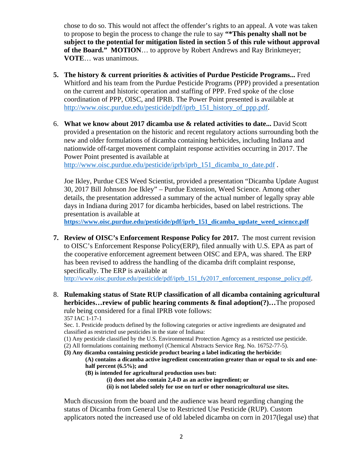chose to do so. This would not affect the offender's rights to an appeal. A vote was taken to propose to begin the process to change the rule to say **"\*This penalty shall not be subject to the potential for mitigation listed in section 5 of this rule without approval of the Board." MOTION**… to approve by Robert Andrews and Ray Brinkmeyer; **VOTE**… was unanimous.

- **5. The history & current priorities & activities of Purdue Pesticide Programs...** Fred Whitford and his team from the Purdue Pesticide Programs (PPP) provided a presentation on the current and historic operation and staffing of PPP. Fred spoke of the close coordination of PPP, OISC, and IPRB. The Power Point presented is available at http://www.oisc.purdue.edu/pesticide/pdf/iprb\_151\_history\_of\_ppp.pdf.
- 6. **What we know about 2017 dicamba use & related activities to date...** David Scott provided a presentation on the historic and recent regulatory actions surrounding both the new and older formulations of dicamba containing herbicides, including Indiana and nationwide off-target movement complaint response activities occurring in 2017. The Power Point presented is available at

http://www.oisc.purdue.edu/pesticide/iprb/iprb\_151\_dicamba\_to\_date.pdf.

Joe Ikley, Purdue CES Weed Scientist, provided a presentation "Dicamba Update August 30, 2017 Bill Johnson Joe Ikley" – Purdue Extension, Weed Science. Among other details, the presentation addressed a summary of the actual number of legally spray able days in Indiana during 2017 for dicamba herbicides, based on label restrictions. The presentation is available at

 **https://www.oisc.purdue.edu/pesticide/pdf/iprb\_151\_dicamba\_update\_weed\_science.pdf**

**7. Review of OISC's Enforcement Response Policy for 2017.** The most current revision to OISC's Enforcement Response Policy(ERP), filed annually with U.S. EPA as part of the cooperative enforcement agreement between OISC and EPA, was shared. The ERP has been revised to address the handling of the dicamba drift complaint response, specifically. The ERP is available at

http://www.oisc.purdue.edu/pesticide/pdf/iprb\_151\_fy2017\_enforcement\_response\_policy.pdf.

8. **Rulemaking status of State RUP classification of all dicamba containing agricultural herbicides…review of public hearing comments & final adoption(?)…**The proposed rule being considered for a final IPRB vote follows: 357 IAC 1-17-1

Sec. 1. Pesticide products defined by the following categories or active ingredients are designated and classified as restricted use pesticides in the state of Indiana:

(1) Any pesticide classified by the U.S. Environmental Protection Agency as a restricted use pesticide.

(2) All formulations containing methomyl (Chemical Abstracts Service Reg. No. 16752-77-5).

**(3) Any dicamba containing pesticide product bearing a label indicating the herbicide:** 

**(A) contains a dicamba active ingredient concentration greater than or equal to six and onehalf percent (6.5%); and** 

- **(B) is intended for agricultural production uses but:** 
	- **(i) does not also contain 2,4-D as an active ingredient; or**

**(ii) is not labeled solely for use on turf or other nonagricultural use sites.** 

Much discussion from the board and the audience was heard regarding changing the status of Dicamba from General Use to Restricted Use Pesticide (RUP). Custom applicators noted the increased use of old labeled dicamba on corn in 2017(legal use) that